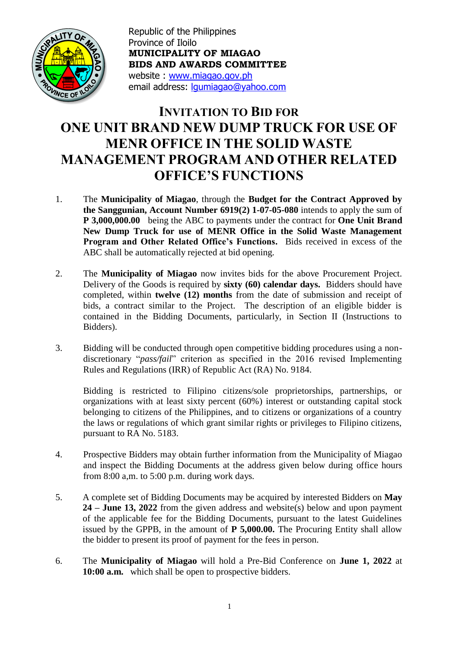

 **BIDS AND AWARDS COMMITTEE** Republic of the Philippines Province of Iloilo **MUNICIPALITY OF MIAGAO** website : [www.miagao.gov.ph](http://www.miagao.gov.ph/) email address: [lgumiagao@yahoo.com](mailto:lgumiagao@yahoo.com)

## **INVITATION TO BID FOR ONE UNIT BRAND NEW DUMP TRUCK FOR USE OF MENR OFFICE IN THE SOLID WASTE MANAGEMENT PROGRAM AND OTHER RELATED OFFICE'S FUNCTIONS**

- 1. The **Municipality of Miagao**, through the **Budget for the Contract Approved by the Sanggunian, Account Number 6919(2) 1-07-05-080** intends to apply the sum of **P 3,000,000.00** being the ABC to payments under the contract for **One Unit Brand New Dump Truck for use of MENR Office in the Solid Waste Management Program and Other Related Office's Functions.** Bids received in excess of the ABC shall be automatically rejected at bid opening.
- 2. The **Municipality of Miagao** now invites bids for the above Procurement Project. Delivery of the Goods is required by **sixty (60) calendar days.** Bidders should have completed, within **twelve (12) months** from the date of submission and receipt of bids, a contract similar to the Project. The description of an eligible bidder is contained in the Bidding Documents, particularly, in Section II (Instructions to Bidders).
- 3. Bidding will be conducted through open competitive bidding procedures using a nondiscretionary "*pass/fail*" criterion as specified in the 2016 revised Implementing Rules and Regulations (IRR) of Republic Act (RA) No. 9184.

Bidding is restricted to Filipino citizens/sole proprietorships, partnerships, or organizations with at least sixty percent (60%) interest or outstanding capital stock belonging to citizens of the Philippines, and to citizens or organizations of a country the laws or regulations of which grant similar rights or privileges to Filipino citizens, pursuant to RA No. 5183.

- 4. Prospective Bidders may obtain further information from the Municipality of Miagao and inspect the Bidding Documents at the address given below during office hours from 8:00 a,m. to 5:00 p.m. during work days.
- 5. A complete set of Bidding Documents may be acquired by interested Bidders on **May 24 – June 13, 2022** from the given address and website(s) below and upon payment of the applicable fee for the Bidding Documents, pursuant to the latest Guidelines issued by the GPPB, in the amount of **P 5,000.00.** The Procuring Entity shall allow the bidder to present its proof of payment for the fees in person.
- 6. The **Municipality of Miagao** will hold a Pre-Bid Conference on **June 1, 2022** at **10:00 a.m.**which shall be open to prospective bidders.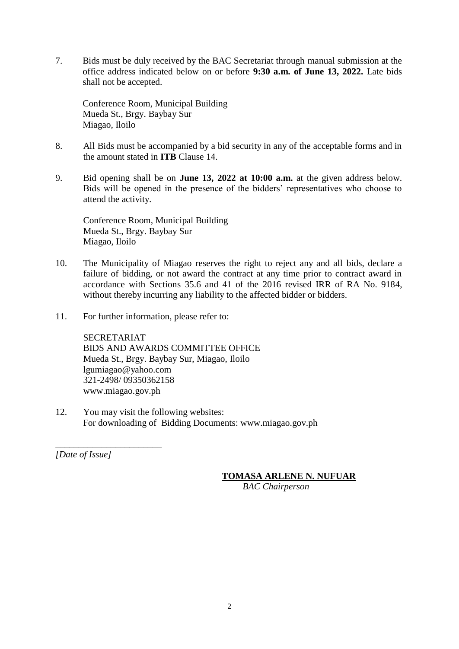7. Bids must be duly received by the BAC Secretariat through manual submission at the office address indicated below on or before **9:30 a.m. of June 13, 2022.** Late bids shall not be accepted.

Conference Room, Municipal Building Mueda St., Brgy. Baybay Sur Miagao, Iloilo

- 8. All Bids must be accompanied by a bid security in any of the acceptable forms and in the amount stated in **ITB** Clause 14.
- 9. Bid opening shall be on **June 13, 2022 at 10:00 a.m.** at the given address below. Bids will be opened in the presence of the bidders' representatives who choose to attend the activity.

Conference Room, Municipal Building Mueda St., Brgy. Baybay Sur Miagao, Iloilo

- 10. The Municipality of Miagao reserves the right to reject any and all bids, declare a failure of bidding, or not award the contract at any time prior to contract award in accordance with Sections 35.6 and 41 of the 2016 revised IRR of RA No. 9184, without thereby incurring any liability to the affected bidder or bidders.
- 11. For further information, please refer to:

SECRETARIAT BIDS AND AWARDS COMMITTEE OFFICE Mueda St., Brgy. Baybay Sur, Miagao, Iloilo lgumiagao@yahoo.com 321-2498/ 09350362158 www.miagao.gov.ph

12. You may visit the following websites: For downloading of Bidding Documents: www.miagao.gov.ph

*[Date of Issue]*

*\_\_\_\_\_\_\_\_\_\_\_\_\_\_\_\_\_\_\_\_\_\_\_*

#### **TOMASA ARLENE N. NUFUAR**

 *BAC Chairperson*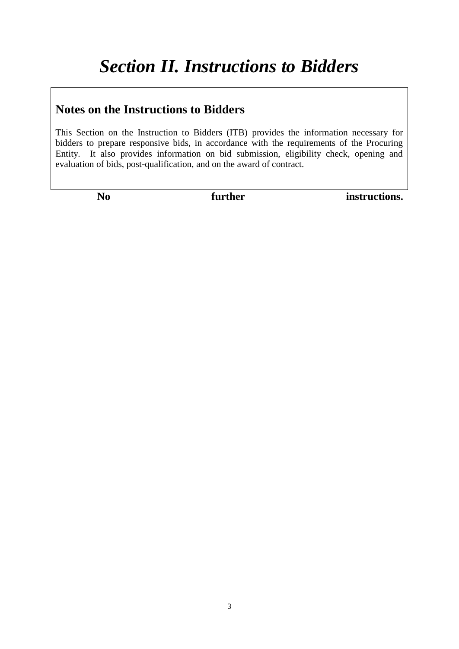## **Notes on the Instructions to Bidders**

This Section on the Instruction to Bidders (ITB) provides the information necessary for bidders to prepare responsive bids, in accordance with the requirements of the Procuring Entity. It also provides information on bid submission, eligibility check, opening and evaluation of bids, post-qualification, and on the award of contract.

No further instructions.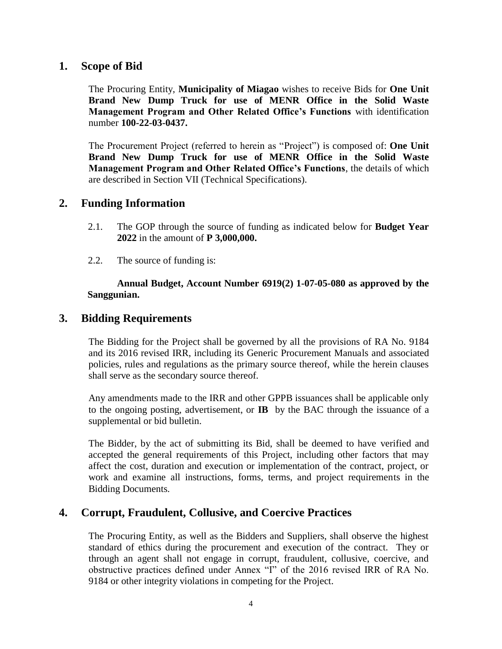#### **1. Scope of Bid**

The Procuring Entity, **Municipality of Miagao** wishes to receive Bids for **One Unit Brand New Dump Truck for use of MENR Office in the Solid Waste Management Program and Other Related Office's Functions** with identification number **100-22-03-0437.**

The Procurement Project (referred to herein as "Project") is composed of: **One Unit Brand New Dump Truck for use of MENR Office in the Solid Waste Management Program and Other Related Office's Functions**, the details of which are described in Section VII (Technical Specifications).

#### **2. Funding Information**

- 2.1. The GOP through the source of funding as indicated below for **Budget Year 2022** in the amount of **P 3,000,000.**
- 2.2. The source of funding is:

**Annual Budget, Account Number 6919(2) 1-07-05-080 as approved by the Sanggunian.** 

#### **3. Bidding Requirements**

The Bidding for the Project shall be governed by all the provisions of RA No. 9184 and its 2016 revised IRR, including its Generic Procurement Manuals and associated policies, rules and regulations as the primary source thereof, while the herein clauses shall serve as the secondary source thereof.

Any amendments made to the IRR and other GPPB issuances shall be applicable only to the ongoing posting, advertisement, or **IB** by the BAC through the issuance of a supplemental or bid bulletin.

The Bidder, by the act of submitting its Bid, shall be deemed to have verified and accepted the general requirements of this Project, including other factors that may affect the cost, duration and execution or implementation of the contract, project, or work and examine all instructions, forms, terms, and project requirements in the Bidding Documents.

#### **4. Corrupt, Fraudulent, Collusive, and Coercive Practices**

The Procuring Entity, as well as the Bidders and Suppliers, shall observe the highest standard of ethics during the procurement and execution of the contract. They or through an agent shall not engage in corrupt, fraudulent, collusive, coercive, and obstructive practices defined under Annex "I" of the 2016 revised IRR of RA No. 9184 or other integrity violations in competing for the Project.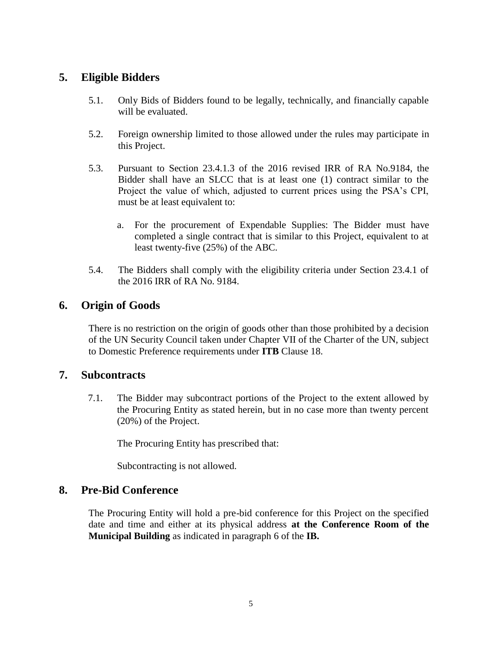#### **5. Eligible Bidders**

- 5.1. Only Bids of Bidders found to be legally, technically, and financially capable will be evaluated.
- 5.2. Foreign ownership limited to those allowed under the rules may participate in this Project.
- 5.3. Pursuant to Section 23.4.1.3 of the 2016 revised IRR of RA No.9184, the Bidder shall have an SLCC that is at least one (1) contract similar to the Project the value of which, adjusted to current prices using the PSA's CPI, must be at least equivalent to:
	- a. For the procurement of Expendable Supplies: The Bidder must have completed a single contract that is similar to this Project, equivalent to at least twenty-five (25%) of the ABC.
- 5.4. The Bidders shall comply with the eligibility criteria under Section 23.4.1 of the 2016 IRR of RA No. 9184.

#### **6. Origin of Goods**

There is no restriction on the origin of goods other than those prohibited by a decision of the UN Security Council taken under Chapter VII of the Charter of the UN, subject to Domestic Preference requirements under **ITB** Clause 18.

#### **7. Subcontracts**

7.1. The Bidder may subcontract portions of the Project to the extent allowed by the Procuring Entity as stated herein, but in no case more than twenty percent (20%) of the Project.

The Procuring Entity has prescribed that:

Subcontracting is not allowed.

#### **8. Pre-Bid Conference**

The Procuring Entity will hold a pre-bid conference for this Project on the specified date and time and either at its physical address **at the Conference Room of the Municipal Building** as indicated in paragraph 6 of the **IB.**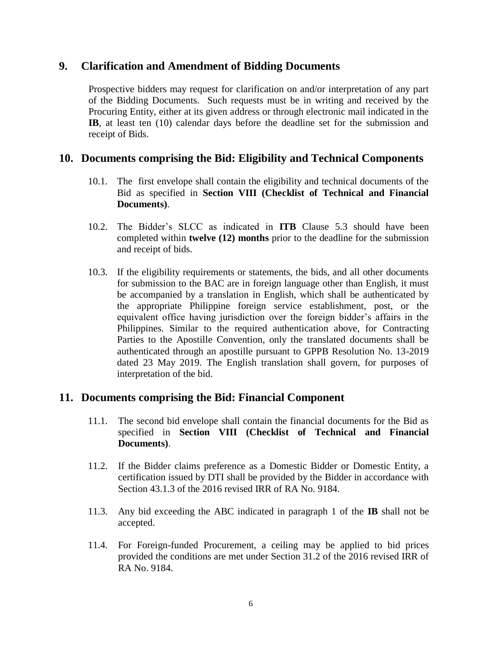#### **9. Clarification and Amendment of Bidding Documents**

Prospective bidders may request for clarification on and/or interpretation of any part of the Bidding Documents. Such requests must be in writing and received by the Procuring Entity, either at its given address or through electronic mail indicated in the **IB**, at least ten (10) calendar days before the deadline set for the submission and receipt of Bids.

#### **10. Documents comprising the Bid: Eligibility and Technical Components**

- 10.1. The first envelope shall contain the eligibility and technical documents of the Bid as specified in **Section VIII (Checklist of Technical and Financial Documents)**.
- 10.2. The Bidder's SLCC as indicated in **ITB** Clause 5.3 should have been completed within **twelve (12) months** prior to the deadline for the submission and receipt of bids.
- 10.3. If the eligibility requirements or statements, the bids, and all other documents for submission to the BAC are in foreign language other than English, it must be accompanied by a translation in English, which shall be authenticated by the appropriate Philippine foreign service establishment, post, or the equivalent office having jurisdiction over the foreign bidder's affairs in the Philippines. Similar to the required authentication above, for Contracting Parties to the Apostille Convention, only the translated documents shall be authenticated through an apostille pursuant to GPPB Resolution No. 13-2019 dated 23 May 2019. The English translation shall govern, for purposes of interpretation of the bid.

#### **11. Documents comprising the Bid: Financial Component**

- 11.1. The second bid envelope shall contain the financial documents for the Bid as specified in **Section VIII (Checklist of Technical and Financial Documents)**.
- 11.2. If the Bidder claims preference as a Domestic Bidder or Domestic Entity, a certification issued by DTI shall be provided by the Bidder in accordance with Section 43.1.3 of the 2016 revised IRR of RA No. 9184.
- 11.3. Any bid exceeding the ABC indicated in paragraph 1 of the **IB** shall not be accepted.
- 11.4. For Foreign-funded Procurement, a ceiling may be applied to bid prices provided the conditions are met under Section 31.2 of the 2016 revised IRR of RA No. 9184.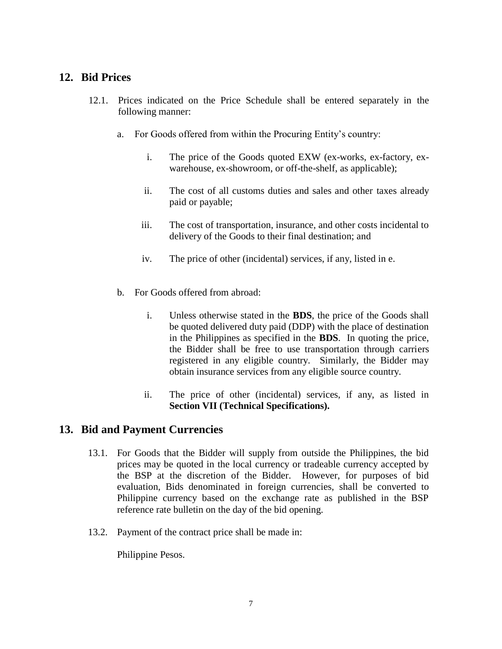#### **12. Bid Prices**

- 12.1. Prices indicated on the Price Schedule shall be entered separately in the following manner:
	- a. For Goods offered from within the Procuring Entity's country:
		- i. The price of the Goods quoted EXW (ex-works, ex-factory, exwarehouse, ex-showroom, or off-the-shelf, as applicable);
		- ii. The cost of all customs duties and sales and other taxes already paid or payable;
		- iii. The cost of transportation, insurance, and other costs incidental to delivery of the Goods to their final destination; and
		- iv. The price of other (incidental) services, if any, listed in e.
	- b. For Goods offered from abroad:
		- i. Unless otherwise stated in the **BDS**, the price of the Goods shall be quoted delivered duty paid (DDP) with the place of destination in the Philippines as specified in the **BDS**. In quoting the price, the Bidder shall be free to use transportation through carriers registered in any eligible country. Similarly, the Bidder may obtain insurance services from any eligible source country.
		- ii. The price of other (incidental) services, if any, as listed in **Section VII (Technical Specifications).**

#### **13. Bid and Payment Currencies**

- 13.1. For Goods that the Bidder will supply from outside the Philippines, the bid prices may be quoted in the local currency or tradeable currency accepted by the BSP at the discretion of the Bidder. However, for purposes of bid evaluation, Bids denominated in foreign currencies, shall be converted to Philippine currency based on the exchange rate as published in the BSP reference rate bulletin on the day of the bid opening.
- 13.2. Payment of the contract price shall be made in:

Philippine Pesos.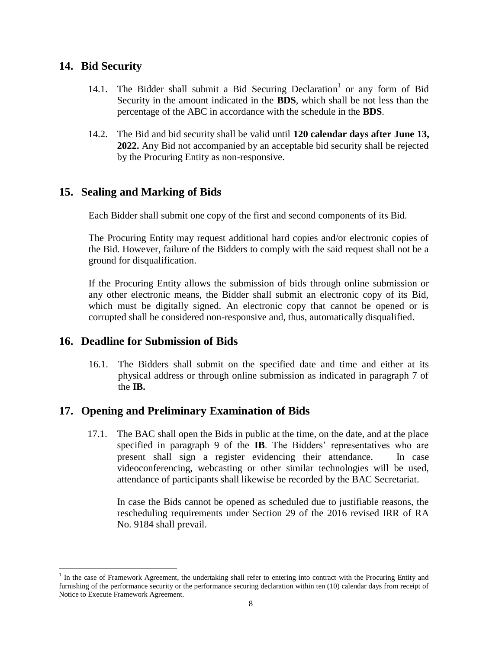#### **14. Bid Security**

- 14.1. The Bidder shall submit a Bid Securing Declaration<sup>1</sup> or any form of Bid Security in the amount indicated in the **BDS**, which shall be not less than the percentage of the ABC in accordance with the schedule in the **BDS**.
- 14.2. The Bid and bid security shall be valid until **120 calendar days after June 13, 2022.** Any Bid not accompanied by an acceptable bid security shall be rejected by the Procuring Entity as non-responsive.

#### **15. Sealing and Marking of Bids**

Each Bidder shall submit one copy of the first and second components of its Bid.

The Procuring Entity may request additional hard copies and/or electronic copies of the Bid. However, failure of the Bidders to comply with the said request shall not be a ground for disqualification.

If the Procuring Entity allows the submission of bids through online submission or any other electronic means, the Bidder shall submit an electronic copy of its Bid, which must be digitally signed. An electronic copy that cannot be opened or is corrupted shall be considered non-responsive and, thus, automatically disqualified.

#### **16. Deadline for Submission of Bids**

 $\overline{a}$ 

16.1. The Bidders shall submit on the specified date and time and either at its physical address or through online submission as indicated in paragraph 7 of the **IB.** 

#### **17. Opening and Preliminary Examination of Bids**

17.1. The BAC shall open the Bids in public at the time, on the date, and at the place specified in paragraph 9 of the **IB**. The Bidders' representatives who are present shall sign a register evidencing their attendance. In case videoconferencing, webcasting or other similar technologies will be used, attendance of participants shall likewise be recorded by the BAC Secretariat.

In case the Bids cannot be opened as scheduled due to justifiable reasons, the rescheduling requirements under Section 29 of the 2016 revised IRR of RA No. 9184 shall prevail.

<sup>&</sup>lt;sup>1</sup> In the case of Framework Agreement, the undertaking shall refer to entering into contract with the Procuring Entity and furnishing of the performance security or the performance securing declaration within ten (10) calendar days from receipt of Notice to Execute Framework Agreement.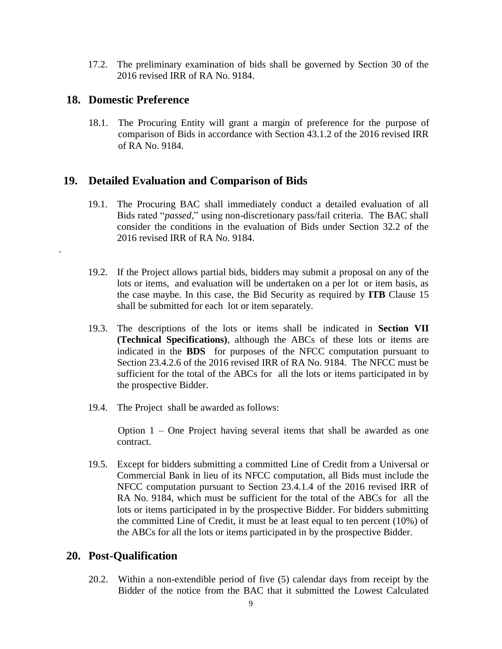17.2. The preliminary examination of bids shall be governed by Section 30 of the 2016 revised IRR of RA No. 9184.

#### **18. Domestic Preference**

.

18.1. The Procuring Entity will grant a margin of preference for the purpose of comparison of Bids in accordance with Section 43.1.2 of the 2016 revised IRR of RA No. 9184.

#### **19. Detailed Evaluation and Comparison of Bids**

- 19.1. The Procuring BAC shall immediately conduct a detailed evaluation of all Bids rated "*passed*," using non-discretionary pass/fail criteria. The BAC shall consider the conditions in the evaluation of Bids under Section 32.2 of the 2016 revised IRR of RA No. 9184.
- 19.2. If the Project allows partial bids, bidders may submit a proposal on any of the lots or items, and evaluation will be undertaken on a per lot or item basis, as the case maybe. In this case, the Bid Security as required by **ITB** Clause 15 shall be submitted for each lot or item separately.
- 19.3. The descriptions of the lots or items shall be indicated in **Section VII (Technical Specifications)**, although the ABCs of these lots or items are indicated in the **BDS** for purposes of the NFCC computation pursuant to Section 23.4.2.6 of the 2016 revised IRR of RA No. 9184. The NFCC must be sufficient for the total of the ABCs for all the lots or items participated in by the prospective Bidder.
- 19.4. The Project shall be awarded as follows:

Option 1 – One Project having several items that shall be awarded as one contract.

19.5. Except for bidders submitting a committed Line of Credit from a Universal or Commercial Bank in lieu of its NFCC computation, all Bids must include the NFCC computation pursuant to Section 23.4.1.4 of the 2016 revised IRR of RA No. 9184, which must be sufficient for the total of the ABCs for all the lots or items participated in by the prospective Bidder. For bidders submitting the committed Line of Credit, it must be at least equal to ten percent (10%) of the ABCs for all the lots or items participated in by the prospective Bidder.

#### **20. Post-Qualification**

20.2. Within a non-extendible period of five (5) calendar days from receipt by the Bidder of the notice from the BAC that it submitted the Lowest Calculated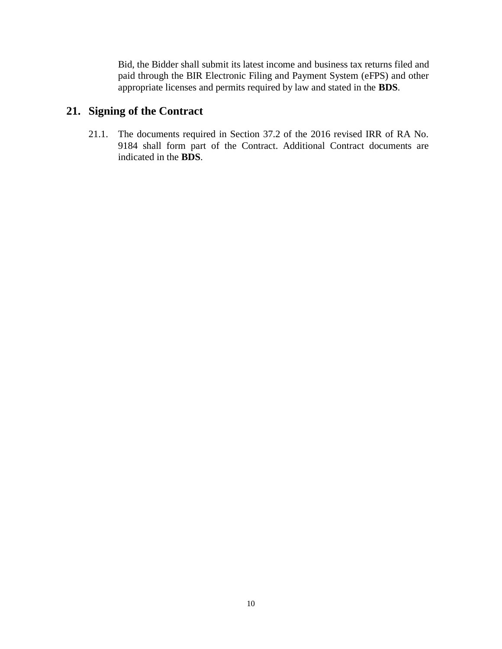Bid, the Bidder shall submit its latest income and business tax returns filed and paid through the BIR Electronic Filing and Payment System (eFPS) and other appropriate licenses and permits required by law and stated in the **BDS**.

#### **21. Signing of the Contract**

21.1. The documents required in Section 37.2 of the 2016 revised IRR of RA No. 9184 shall form part of the Contract. Additional Contract documents are indicated in the **BDS**.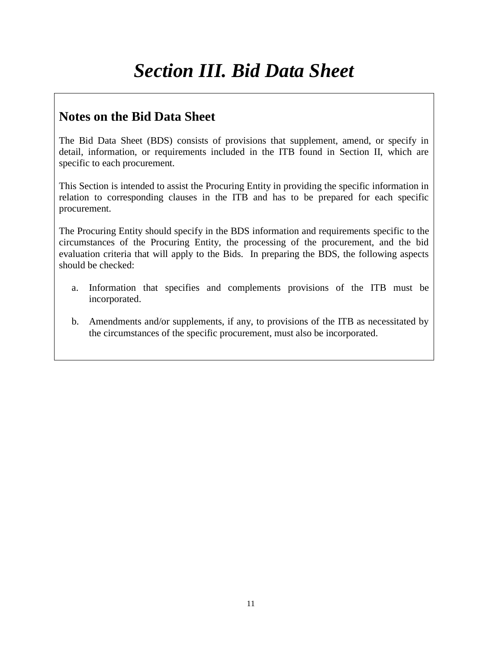# *Section III. Bid Data Sheet*

### **Notes on the Bid Data Sheet**

The Bid Data Sheet (BDS) consists of provisions that supplement, amend, or specify in detail, information, or requirements included in the ITB found in Section II, which are specific to each procurement.

This Section is intended to assist the Procuring Entity in providing the specific information in relation to corresponding clauses in the ITB and has to be prepared for each specific procurement.

The Procuring Entity should specify in the BDS information and requirements specific to the circumstances of the Procuring Entity, the processing of the procurement, and the bid evaluation criteria that will apply to the Bids. In preparing the BDS, the following aspects should be checked:

- a. Information that specifies and complements provisions of the ITB must be incorporated.
- b. Amendments and/or supplements, if any, to provisions of the ITB as necessitated by the circumstances of the specific procurement, must also be incorporated.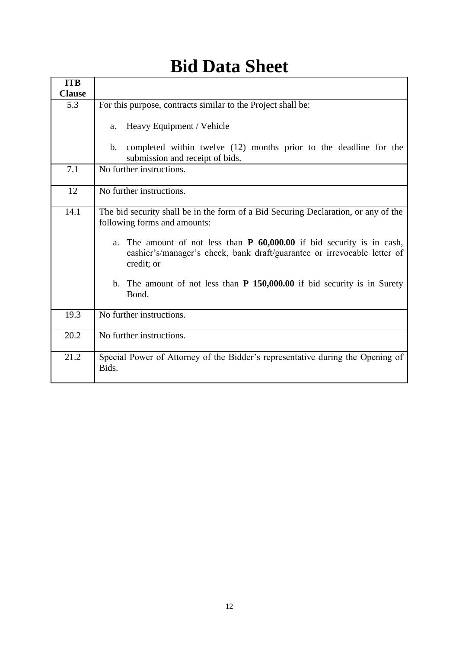| <b>ITB</b>    |                                                                                                                                                                                                                                                                                                                                                                                      |  |
|---------------|--------------------------------------------------------------------------------------------------------------------------------------------------------------------------------------------------------------------------------------------------------------------------------------------------------------------------------------------------------------------------------------|--|
| <b>Clause</b> |                                                                                                                                                                                                                                                                                                                                                                                      |  |
| 5.3           | For this purpose, contracts similar to the Project shall be:                                                                                                                                                                                                                                                                                                                         |  |
|               | Heavy Equipment / Vehicle<br>a.                                                                                                                                                                                                                                                                                                                                                      |  |
|               | completed within twelve (12) months prior to the deadline for the<br>$\mathbf{b}$ .<br>submission and receipt of bids.                                                                                                                                                                                                                                                               |  |
| 7.1           | No further instructions.                                                                                                                                                                                                                                                                                                                                                             |  |
| 12            | No further instructions.                                                                                                                                                                                                                                                                                                                                                             |  |
| 14.1          | The bid security shall be in the form of a Bid Securing Declaration, or any of the<br>following forms and amounts:<br>a. The amount of not less than $P$ 60,000.00 if bid security is in cash,<br>cashier's/manager's check, bank draft/guarantee or irrevocable letter of<br>credit; or<br>b. The amount of not less than <b>P 150,000.00</b> if bid security is in Surety<br>Bond. |  |
| 19.3          | No further instructions.                                                                                                                                                                                                                                                                                                                                                             |  |
| 20.2          | No further instructions.                                                                                                                                                                                                                                                                                                                                                             |  |
| 21.2          | Special Power of Attorney of the Bidder's representative during the Opening of<br>Bids.                                                                                                                                                                                                                                                                                              |  |

# **Bid Data Sheet**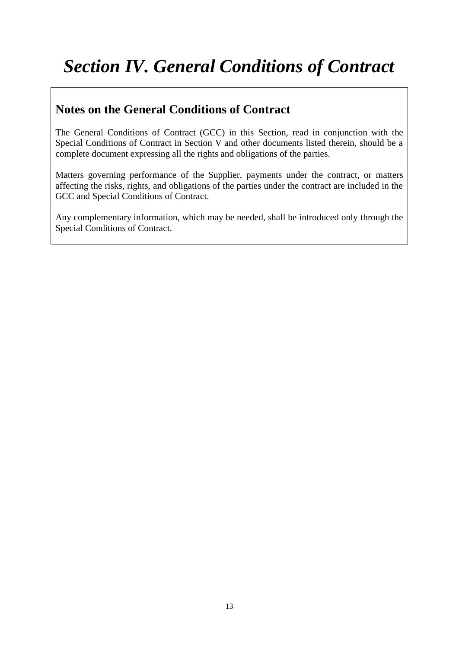# *Section IV. General Conditions of Contract*

## **Notes on the General Conditions of Contract**

The General Conditions of Contract (GCC) in this Section, read in conjunction with the Special Conditions of Contract in Section V and other documents listed therein, should be a complete document expressing all the rights and obligations of the parties.

Matters governing performance of the Supplier, payments under the contract, or matters affecting the risks, rights, and obligations of the parties under the contract are included in the GCC and Special Conditions of Contract.

Any complementary information, which may be needed, shall be introduced only through the Special Conditions of Contract.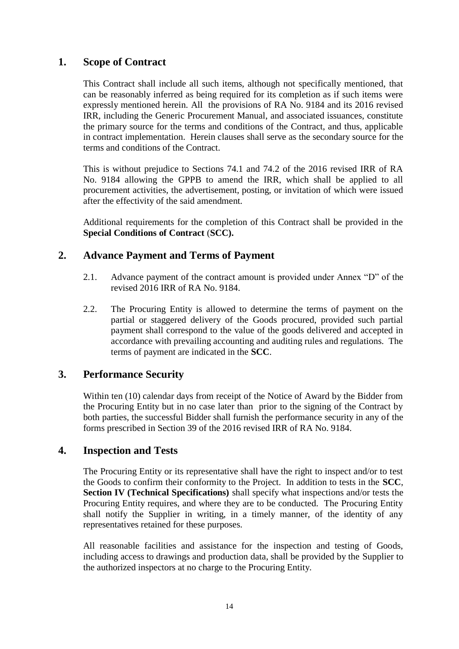#### **1. Scope of Contract**

This Contract shall include all such items, although not specifically mentioned, that can be reasonably inferred as being required for its completion as if such items were expressly mentioned herein. All the provisions of RA No. 9184 and its 2016 revised IRR, including the Generic Procurement Manual, and associated issuances, constitute the primary source for the terms and conditions of the Contract, and thus, applicable in contract implementation. Herein clauses shall serve as the secondary source for the terms and conditions of the Contract.

This is without prejudice to Sections 74.1 and 74.2 of the 2016 revised IRR of RA No. 9184 allowing the GPPB to amend the IRR, which shall be applied to all procurement activities, the advertisement, posting, or invitation of which were issued after the effectivity of the said amendment.

Additional requirements for the completion of this Contract shall be provided in the **Special Conditions of Contract** (**SCC).**

#### **2. Advance Payment and Terms of Payment**

- 2.1. Advance payment of the contract amount is provided under Annex "D" of the revised 2016 IRR of RA No. 9184.
- 2.2. The Procuring Entity is allowed to determine the terms of payment on the partial or staggered delivery of the Goods procured, provided such partial payment shall correspond to the value of the goods delivered and accepted in accordance with prevailing accounting and auditing rules and regulations. The terms of payment are indicated in the **SCC**.

#### **3. Performance Security**

Within ten (10) calendar days from receipt of the Notice of Award by the Bidder from the Procuring Entity but in no case later than prior to the signing of the Contract by both parties, the successful Bidder shall furnish the performance security in any of the forms prescribed in Section 39 of the 2016 revised IRR of RA No. 9184.

#### **4. Inspection and Tests**

The Procuring Entity or its representative shall have the right to inspect and/or to test the Goods to confirm their conformity to the Project. In addition to tests in the **SCC**, **Section IV (Technical Specifications)** shall specify what inspections and/or tests the Procuring Entity requires, and where they are to be conducted. The Procuring Entity shall notify the Supplier in writing, in a timely manner, of the identity of any representatives retained for these purposes.

All reasonable facilities and assistance for the inspection and testing of Goods, including access to drawings and production data, shall be provided by the Supplier to the authorized inspectors at no charge to the Procuring Entity.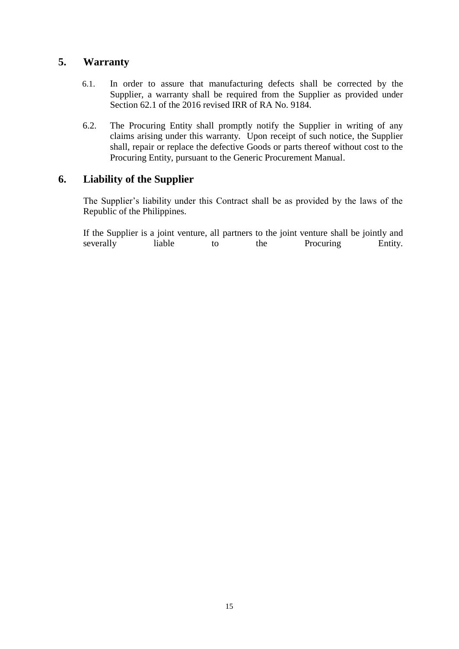#### **5. Warranty**

- 6.1. In order to assure that manufacturing defects shall be corrected by the Supplier, a warranty shall be required from the Supplier as provided under Section 62.1 of the 2016 revised IRR of RA No. 9184.
- 6.2. The Procuring Entity shall promptly notify the Supplier in writing of any claims arising under this warranty. Upon receipt of such notice, the Supplier shall, repair or replace the defective Goods or parts thereof without cost to the Procuring Entity, pursuant to the Generic Procurement Manual.

#### **6. Liability of the Supplier**

The Supplier's liability under this Contract shall be as provided by the laws of the Republic of the Philippines.

If the Supplier is a joint venture, all partners to the joint venture shall be jointly and severally liable to the Procuring Entity.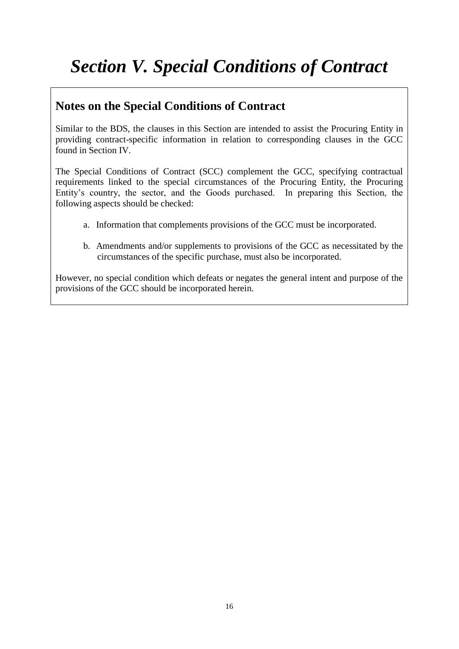# *Section V. Special Conditions of Contract*

## **Notes on the Special Conditions of Contract**

Similar to the BDS, the clauses in this Section are intended to assist the Procuring Entity in providing contract-specific information in relation to corresponding clauses in the GCC found in Section IV.

The Special Conditions of Contract (SCC) complement the GCC, specifying contractual requirements linked to the special circumstances of the Procuring Entity, the Procuring Entity's country, the sector, and the Goods purchased. In preparing this Section, the following aspects should be checked:

- a. Information that complements provisions of the GCC must be incorporated.
- b. Amendments and/or supplements to provisions of the GCC as necessitated by the circumstances of the specific purchase, must also be incorporated.

However, no special condition which defeats or negates the general intent and purpose of the provisions of the GCC should be incorporated herein.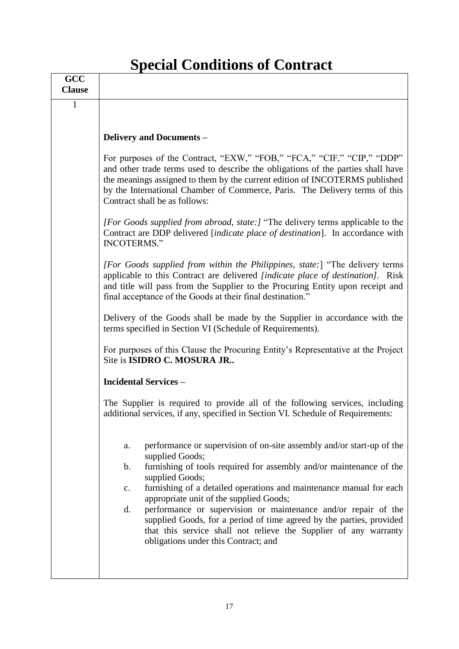# **Special Conditions of Contract**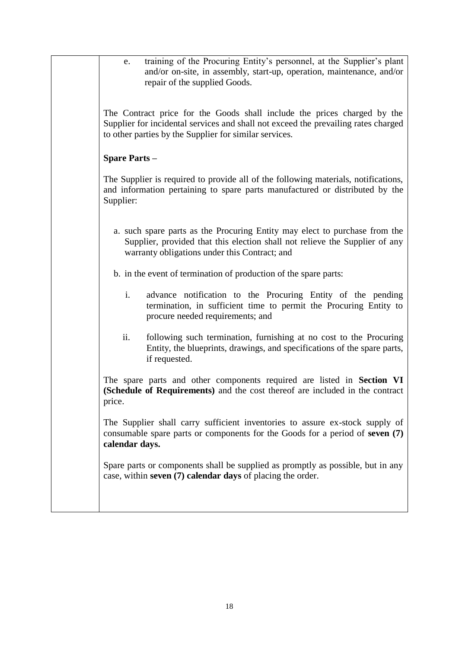| training of the Procuring Entity's personnel, at the Supplier's plant<br>e.<br>and/or on-site, in assembly, start-up, operation, maintenance, and/or<br>repair of the supplied Goods.                                    |
|--------------------------------------------------------------------------------------------------------------------------------------------------------------------------------------------------------------------------|
| The Contract price for the Goods shall include the prices charged by the<br>Supplier for incidental services and shall not exceed the prevailing rates charged<br>to other parties by the Supplier for similar services. |
| <b>Spare Parts -</b>                                                                                                                                                                                                     |
| The Supplier is required to provide all of the following materials, notifications,<br>and information pertaining to spare parts manufactured or distributed by the<br>Supplier:                                          |
| a. such spare parts as the Procuring Entity may elect to purchase from the<br>Supplier, provided that this election shall not relieve the Supplier of any<br>warranty obligations under this Contract; and               |
| b. in the event of termination of production of the spare parts:                                                                                                                                                         |
| $\mathbf{i}$ .<br>advance notification to the Procuring Entity of the pending<br>termination, in sufficient time to permit the Procuring Entity to<br>procure needed requirements; and                                   |
| ii.<br>following such termination, furnishing at no cost to the Procuring<br>Entity, the blueprints, drawings, and specifications of the spare parts,<br>if requested.                                                   |
| The spare parts and other components required are listed in Section VI<br>(Schedule of Requirements) and the cost thereof are included in the contract<br>price.                                                         |
| The Supplier shall carry sufficient inventories to assure ex-stock supply of<br>consumable spare parts or components for the Goods for a period of seven (7)<br>calendar days.                                           |
| Spare parts or components shall be supplied as promptly as possible, but in any<br>case, within seven (7) calendar days of placing the order.                                                                            |
|                                                                                                                                                                                                                          |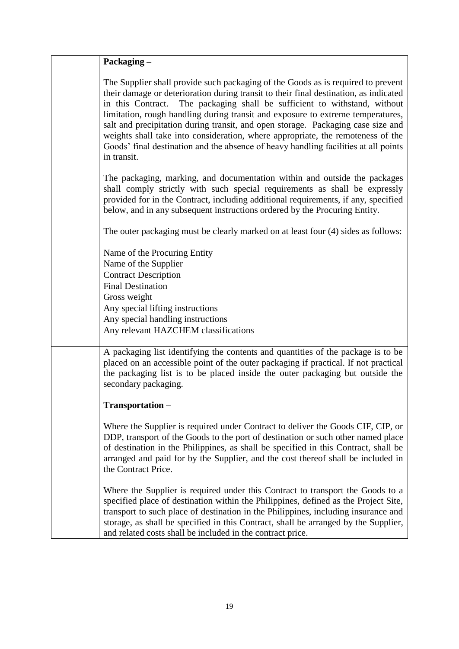| Packaging -                                                                                                                                                                                                                                                                                                                                                                                                                                                                                                                                                                                                               |
|---------------------------------------------------------------------------------------------------------------------------------------------------------------------------------------------------------------------------------------------------------------------------------------------------------------------------------------------------------------------------------------------------------------------------------------------------------------------------------------------------------------------------------------------------------------------------------------------------------------------------|
| The Supplier shall provide such packaging of the Goods as is required to prevent<br>their damage or deterioration during transit to their final destination, as indicated<br>in this Contract.<br>The packaging shall be sufficient to withstand, without<br>limitation, rough handling during transit and exposure to extreme temperatures,<br>salt and precipitation during transit, and open storage. Packaging case size and<br>weights shall take into consideration, where appropriate, the remoteness of the<br>Goods' final destination and the absence of heavy handling facilities at all points<br>in transit. |
| The packaging, marking, and documentation within and outside the packages<br>shall comply strictly with such special requirements as shall be expressly<br>provided for in the Contract, including additional requirements, if any, specified<br>below, and in any subsequent instructions ordered by the Procuring Entity.                                                                                                                                                                                                                                                                                               |
| The outer packaging must be clearly marked on at least four (4) sides as follows:                                                                                                                                                                                                                                                                                                                                                                                                                                                                                                                                         |
| Name of the Procuring Entity<br>Name of the Supplier<br><b>Contract Description</b><br><b>Final Destination</b><br>Gross weight<br>Any special lifting instructions<br>Any special handling instructions<br>Any relevant HAZCHEM classifications                                                                                                                                                                                                                                                                                                                                                                          |
| A packaging list identifying the contents and quantities of the package is to be<br>placed on an accessible point of the outer packaging if practical. If not practical<br>the packaging list is to be placed inside the outer packaging but outside the<br>secondary packaging.                                                                                                                                                                                                                                                                                                                                          |
| Transportation-                                                                                                                                                                                                                                                                                                                                                                                                                                                                                                                                                                                                           |
| Where the Supplier is required under Contract to deliver the Goods CIF, CIP, or<br>DDP, transport of the Goods to the port of destination or such other named place<br>of destination in the Philippines, as shall be specified in this Contract, shall be<br>arranged and paid for by the Supplier, and the cost thereof shall be included in<br>the Contract Price.                                                                                                                                                                                                                                                     |
| Where the Supplier is required under this Contract to transport the Goods to a<br>specified place of destination within the Philippines, defined as the Project Site,<br>transport to such place of destination in the Philippines, including insurance and<br>storage, as shall be specified in this Contract, shall be arranged by the Supplier,<br>and related costs shall be included in the contract price.                                                                                                                                                                                                          |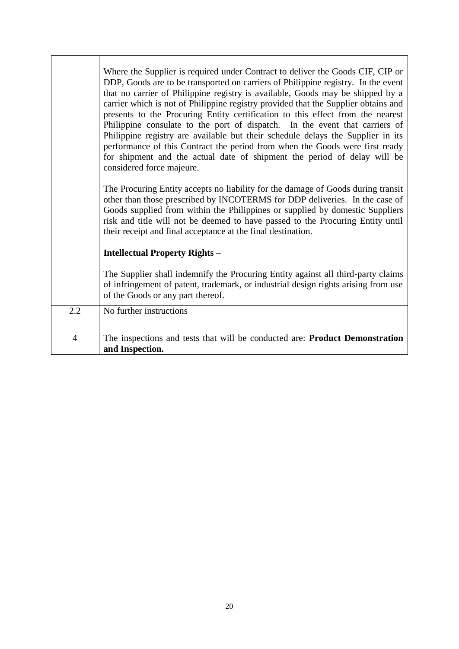|                | Where the Supplier is required under Contract to deliver the Goods CIF, CIP or<br>DDP, Goods are to be transported on carriers of Philippine registry. In the event<br>that no carrier of Philippine registry is available, Goods may be shipped by a<br>carrier which is not of Philippine registry provided that the Supplier obtains and<br>presents to the Procuring Entity certification to this effect from the nearest<br>Philippine consulate to the port of dispatch. In the event that carriers of<br>Philippine registry are available but their schedule delays the Supplier in its<br>performance of this Contract the period from when the Goods were first ready<br>for shipment and the actual date of shipment the period of delay will be<br>considered force majeure.<br>The Procuring Entity accepts no liability for the damage of Goods during transit<br>other than those prescribed by INCOTERMS for DDP deliveries. In the case of |
|----------------|-------------------------------------------------------------------------------------------------------------------------------------------------------------------------------------------------------------------------------------------------------------------------------------------------------------------------------------------------------------------------------------------------------------------------------------------------------------------------------------------------------------------------------------------------------------------------------------------------------------------------------------------------------------------------------------------------------------------------------------------------------------------------------------------------------------------------------------------------------------------------------------------------------------------------------------------------------------|
|                | Goods supplied from within the Philippines or supplied by domestic Suppliers<br>risk and title will not be deemed to have passed to the Procuring Entity until<br>their receipt and final acceptance at the final destination.                                                                                                                                                                                                                                                                                                                                                                                                                                                                                                                                                                                                                                                                                                                              |
|                | <b>Intellectual Property Rights –</b>                                                                                                                                                                                                                                                                                                                                                                                                                                                                                                                                                                                                                                                                                                                                                                                                                                                                                                                       |
|                | The Supplier shall indemnify the Procuring Entity against all third-party claims<br>of infringement of patent, trademark, or industrial design rights arising from use<br>of the Goods or any part thereof.                                                                                                                                                                                                                                                                                                                                                                                                                                                                                                                                                                                                                                                                                                                                                 |
| 2.2            | No further instructions                                                                                                                                                                                                                                                                                                                                                                                                                                                                                                                                                                                                                                                                                                                                                                                                                                                                                                                                     |
| $\overline{4}$ | The inspections and tests that will be conducted are: Product Demonstration<br>and Inspection.                                                                                                                                                                                                                                                                                                                                                                                                                                                                                                                                                                                                                                                                                                                                                                                                                                                              |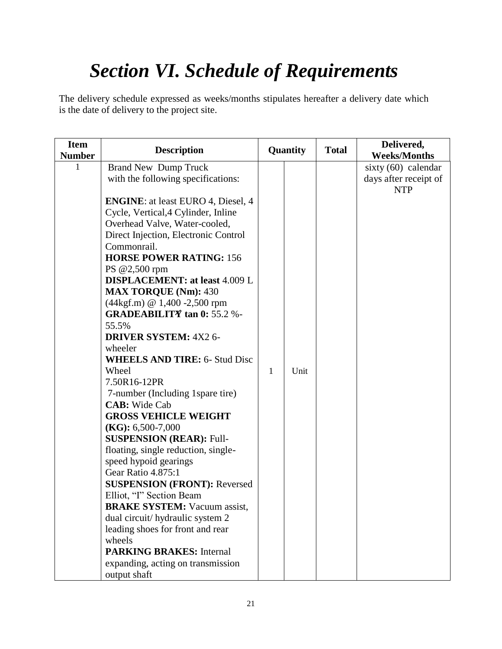# *Section VI. Schedule of Requirements*

The delivery schedule expressed as weeks/months stipulates hereafter a delivery date which is the date of delivery to the project site.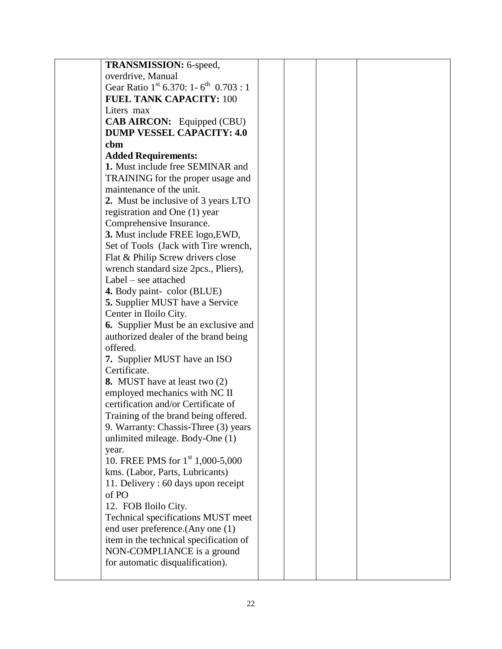| <b>TRANSMISSION: 6-speed,</b>                                 |  |  |
|---------------------------------------------------------------|--|--|
| overdrive, Manual                                             |  |  |
| Gear Ratio 1 <sup>st</sup> 6.370: 1-6 <sup>th</sup> 0.703 : 1 |  |  |
| <b>FUEL TANK CAPACITY: 100</b>                                |  |  |
| Liters max                                                    |  |  |
| <b>CAB AIRCON:</b> Equipped (CBU)                             |  |  |
| <b>DUMP VESSEL CAPACITY: 4.0</b>                              |  |  |
| cbm                                                           |  |  |
| <b>Added Requirements:</b>                                    |  |  |
| 1. Must include free SEMINAR and                              |  |  |
| TRAINING for the proper usage and                             |  |  |
| maintenance of the unit.                                      |  |  |
| 2. Must be inclusive of 3 years LTO                           |  |  |
| registration and One (1) year                                 |  |  |
| Comprehensive Insurance.                                      |  |  |
| 3. Must include FREE logo, EWD,                               |  |  |
| Set of Tools (Jack with Tire wrench,                          |  |  |
| Flat & Philip Screw drivers close                             |  |  |
| wrench standard size 2pcs., Pliers),                          |  |  |
| Label – see attached                                          |  |  |
| 4. Body paint-color (BLUE)                                    |  |  |
| <b>5.</b> Supplier MUST have a Service                        |  |  |
| Center in Iloilo City.                                        |  |  |
| <b>6.</b> Supplier Must be an exclusive and                   |  |  |
| authorized dealer of the brand being                          |  |  |
| offered.                                                      |  |  |
| 7. Supplier MUST have an ISO                                  |  |  |
| Certificate.                                                  |  |  |
| 8. MUST have at least two (2)                                 |  |  |
| employed mechanics with NC II                                 |  |  |
| certification and/or Certificate of                           |  |  |
| Training of the brand being offered.                          |  |  |
| 9. Warranty: Chassis-Three (3) years                          |  |  |
| unlimited mileage. Body-One (1)                               |  |  |
| year.                                                         |  |  |
| 10. FREE PMS for $1st 1,000-5,000$                            |  |  |
| kms. (Labor, Parts, Lubricants)                               |  |  |
| 11. Delivery: 60 days upon receipt                            |  |  |
| of PO                                                         |  |  |
| 12. FOB Iloilo City.                                          |  |  |
| Technical specifications MUST meet                            |  |  |
| end user preference. (Any one (1)                             |  |  |
| item in the technical specification of                        |  |  |
| NON-COMPLIANCE is a ground                                    |  |  |
| for automatic disqualification).                              |  |  |
|                                                               |  |  |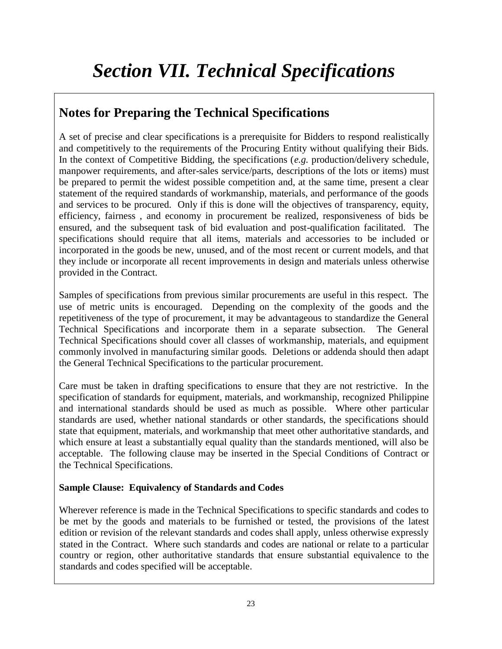# *Section VII. Technical Specifications*

## **Notes for Preparing the Technical Specifications**

A set of precise and clear specifications is a prerequisite for Bidders to respond realistically and competitively to the requirements of the Procuring Entity without qualifying their Bids. In the context of Competitive Bidding, the specifications (*e.g.* production/delivery schedule, manpower requirements, and after-sales service/parts, descriptions of the lots or items) must be prepared to permit the widest possible competition and, at the same time, present a clear statement of the required standards of workmanship, materials, and performance of the goods and services to be procured. Only if this is done will the objectives of transparency, equity, efficiency, fairness , and economy in procurement be realized, responsiveness of bids be ensured, and the subsequent task of bid evaluation and post-qualification facilitated. The specifications should require that all items, materials and accessories to be included or incorporated in the goods be new, unused, and of the most recent or current models, and that they include or incorporate all recent improvements in design and materials unless otherwise provided in the Contract.

Samples of specifications from previous similar procurements are useful in this respect. The use of metric units is encouraged. Depending on the complexity of the goods and the repetitiveness of the type of procurement, it may be advantageous to standardize the General Technical Specifications and incorporate them in a separate subsection. The General Technical Specifications should cover all classes of workmanship, materials, and equipment commonly involved in manufacturing similar goods. Deletions or addenda should then adapt the General Technical Specifications to the particular procurement.

Care must be taken in drafting specifications to ensure that they are not restrictive. In the specification of standards for equipment, materials, and workmanship, recognized Philippine and international standards should be used as much as possible. Where other particular standards are used, whether national standards or other standards, the specifications should state that equipment, materials, and workmanship that meet other authoritative standards, and which ensure at least a substantially equal quality than the standards mentioned, will also be acceptable. The following clause may be inserted in the Special Conditions of Contract or the Technical Specifications.

#### **Sample Clause: Equivalency of Standards and Codes**

Wherever reference is made in the Technical Specifications to specific standards and codes to be met by the goods and materials to be furnished or tested, the provisions of the latest edition or revision of the relevant standards and codes shall apply, unless otherwise expressly stated in the Contract. Where such standards and codes are national or relate to a particular country or region, other authoritative standards that ensure substantial equivalence to the standards and codes specified will be acceptable.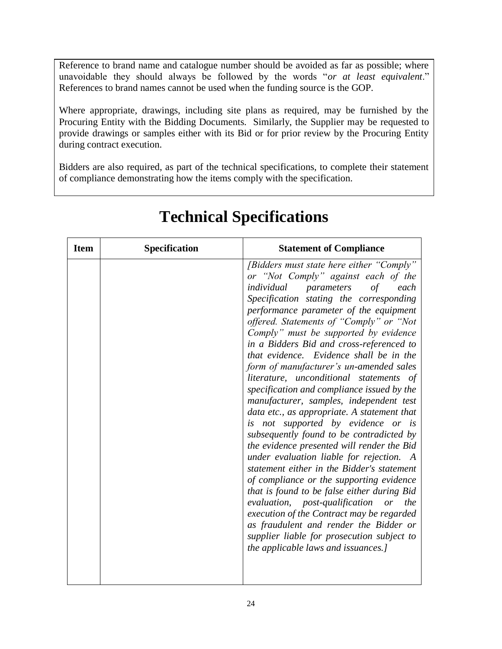Reference to brand name and catalogue number should be avoided as far as possible; where unavoidable they should always be followed by the words "*or at least equivalent*." References to brand names cannot be used when the funding source is the GOP.

Where appropriate, drawings, including site plans as required, may be furnished by the Procuring Entity with the Bidding Documents. Similarly, the Supplier may be requested to provide drawings or samples either with its Bid or for prior review by the Procuring Entity during contract execution.

Bidders are also required, as part of the technical specifications, to complete their statement of compliance demonstrating how the items comply with the specification.

| <b>Item</b> | <b>Specification</b> | <b>Statement of Compliance</b>                                                                                                                                                                                                                                                                                                                                                                                                                                                                                                                                                                                                                                                                                                                                                                                                                                                                                                                                                                                                                                                                                                                                          |
|-------------|----------------------|-------------------------------------------------------------------------------------------------------------------------------------------------------------------------------------------------------------------------------------------------------------------------------------------------------------------------------------------------------------------------------------------------------------------------------------------------------------------------------------------------------------------------------------------------------------------------------------------------------------------------------------------------------------------------------------------------------------------------------------------------------------------------------------------------------------------------------------------------------------------------------------------------------------------------------------------------------------------------------------------------------------------------------------------------------------------------------------------------------------------------------------------------------------------------|
|             |                      | [Bidders must state here either "Comply"<br>or "Not Comply" against each of the<br>individual<br>of<br>each<br>parameters<br>Specification stating the corresponding<br>performance parameter of the equipment<br>offered. Statements of "Comply" or "Not<br>Comply" must be supported by evidence<br>in a Bidders Bid and cross-referenced to<br>that evidence. Evidence shall be in the<br>form of manufacturer's un-amended sales<br>literature, unconditional statements of<br>specification and compliance issued by the<br>manufacturer, samples, independent test<br>data etc., as appropriate. A statement that<br>is not supported by evidence or is<br>subsequently found to be contradicted by<br>the evidence presented will render the Bid<br>under evaluation liable for rejection. A<br>statement either in the Bidder's statement<br>of compliance or the supporting evidence<br>that is found to be false either during Bid<br>evaluation, post-qualification<br>or<br>the<br>execution of the Contract may be regarded<br>as fraudulent and render the Bidder or<br>supplier liable for prosecution subject to<br>the applicable laws and issuances.] |

## **Technical Specifications**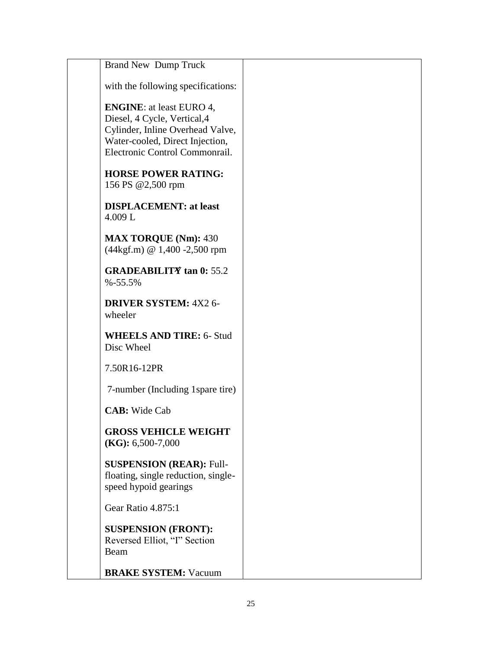| <b>Brand New Dump Truck</b>                                                                                                                                              |  |
|--------------------------------------------------------------------------------------------------------------------------------------------------------------------------|--|
| with the following specifications:                                                                                                                                       |  |
| <b>ENGINE:</b> at least EURO 4,<br>Diesel, 4 Cycle, Vertical, 4<br>Cylinder, Inline Overhead Valve,<br>Water-cooled, Direct Injection,<br>Electronic Control Commonrail. |  |
| <b>HORSE POWER RATING:</b><br>156 PS @2,500 rpm                                                                                                                          |  |
| <b>DISPLACEMENT: at least</b><br>4.009L                                                                                                                                  |  |
| <b>MAX TORQUE (Nm): 430</b><br>$(44\text{kgf.m})$ @ 1,400 -2,500 rpm                                                                                                     |  |
| <b>GRADEABILITY</b> tan 0: 55.2<br>$% -55.5%$                                                                                                                            |  |
| <b>DRIVER SYSTEM: 4X2 6-</b><br>wheeler                                                                                                                                  |  |
| <b>WHEELS AND TIRE: 6- Stud</b><br>Disc Wheel                                                                                                                            |  |
| 7.50R16-12PR                                                                                                                                                             |  |
| 7-number (Including 1 spare tire)                                                                                                                                        |  |
| <b>CAB</b> : Wide Cab                                                                                                                                                    |  |
| <b>GROSS VEHICLE WEIGHT</b><br>$(KG): 6,500-7,000$                                                                                                                       |  |
| <b>SUSPENSION (REAR): Full-</b><br>floating, single reduction, single-<br>speed hypoid gearings                                                                          |  |
| Gear Ratio 4.875:1                                                                                                                                                       |  |
| <b>SUSPENSION (FRONT):</b><br>Reversed Elliot, "I" Section<br>Beam                                                                                                       |  |
| <b>BRAKE SYSTEM: Vacuum</b>                                                                                                                                              |  |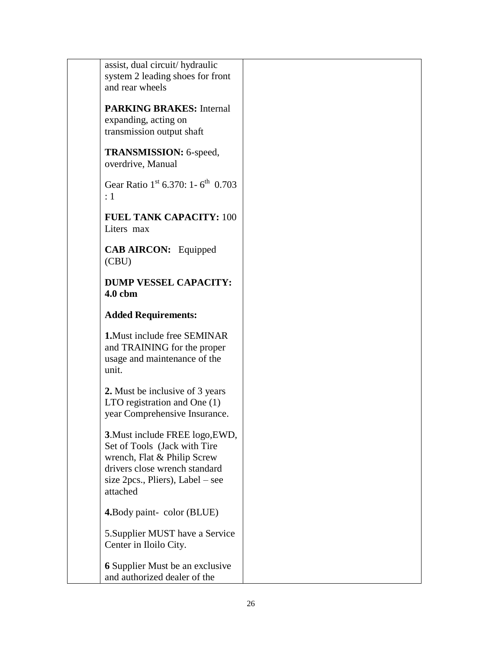assist, dual circuit/ hydraulic system 2 leading shoes for front and rear wheels

**PARKING BRAKES:** Internal expanding, acting on transmission output shaft

**TRANSMISSION:** 6-speed, overdrive, Manual

Gear Ratio  $1^{st}$  6.370: 1 - 6<sup>th</sup> 0.703 : 1

**FUEL TANK CAPACITY:** 100 Liters max

**CAB AIRCON:** Equipped (CBU)

**DUMP VESSEL CAPACITY: 4.0 cbm**

#### **Added Requirements:**

**1.**Must include free SEMINAR and TRAINING for the proper usage and maintenance of the unit.

**2.** Must be inclusive of 3 years LTO registration and One (1) year Comprehensive Insurance.

**3**.Must include FREE logo,EWD, Set of Tools (Jack with Tire wrench, Flat & Philip Screw drivers close wrench standard size 2pcs., Pliers), Label – see attached

**4.**Body paint- color (BLUE)

5.Supplier MUST have a Service Center in Iloilo City.

**6** Supplier Must be an exclusive and authorized dealer of the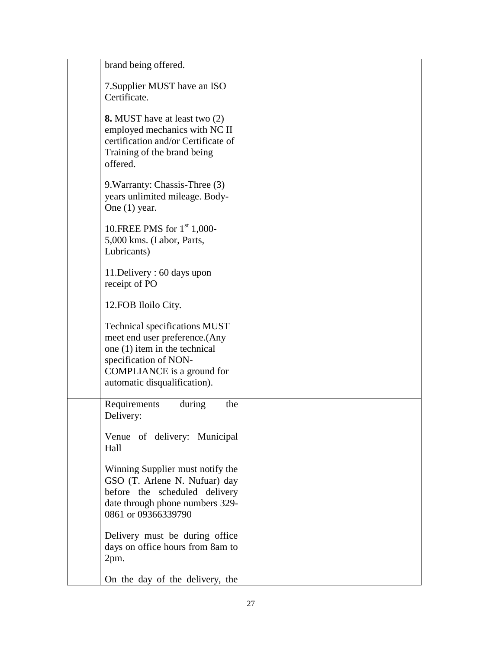| brand being offered.                                                                                                                                                                             |  |
|--------------------------------------------------------------------------------------------------------------------------------------------------------------------------------------------------|--|
| 7. Supplier MUST have an ISO<br>Certificate.                                                                                                                                                     |  |
| <b>8.</b> MUST have at least two (2)<br>employed mechanics with NC II<br>certification and/or Certificate of<br>Training of the brand being<br>offered.                                          |  |
| 9. Warranty: Chassis-Three (3)<br>years unlimited mileage. Body-<br>One $(1)$ year.                                                                                                              |  |
| 10. FREE PMS for $1st$ 1,000-<br>5,000 kms. (Labor, Parts,<br>Lubricants)                                                                                                                        |  |
| 11. Delivery: 60 days upon<br>receipt of PO                                                                                                                                                      |  |
| 12. FOB Iloilo City.                                                                                                                                                                             |  |
| <b>Technical specifications MUST</b><br>meet end user preference. (Any<br>one $(1)$ item in the technical<br>specification of NON-<br>COMPLIANCE is a ground for<br>automatic disqualification). |  |
| Requirements<br>the<br>during<br>Delivery:                                                                                                                                                       |  |
| Venue of delivery: Municipal<br>Hall                                                                                                                                                             |  |
| Winning Supplier must notify the<br>GSO (T. Arlene N. Nufuar) day<br>before the scheduled delivery<br>date through phone numbers 329-<br>0861 or 09366339790                                     |  |
| Delivery must be during office<br>days on office hours from 8am to<br>2pm.                                                                                                                       |  |
| On the day of the delivery, the                                                                                                                                                                  |  |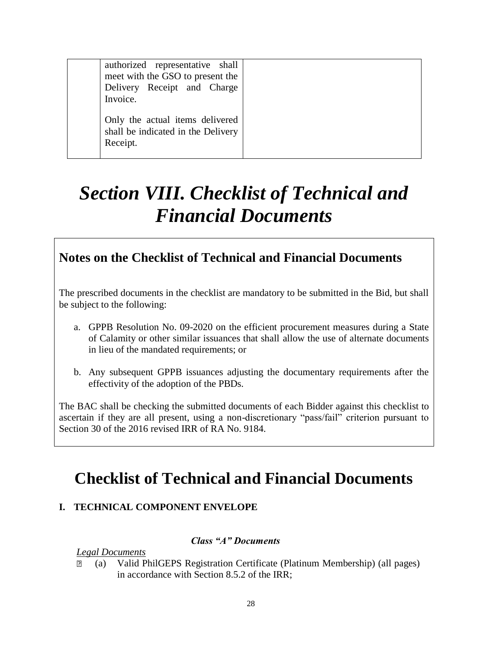| authorized representative shall<br>meet with the GSO to present the<br>Delivery Receipt and Charge<br>Invoice. |  |
|----------------------------------------------------------------------------------------------------------------|--|
| Only the actual items delivered<br>shall be indicated in the Delivery<br>Receipt.                              |  |

# *Section VIII. Checklist of Technical and Financial Documents*

### **Notes on the Checklist of Technical and Financial Documents**

The prescribed documents in the checklist are mandatory to be submitted in the Bid, but shall be subject to the following:

- a. GPPB Resolution No. 09-2020 on the efficient procurement measures during a State of Calamity or other similar issuances that shall allow the use of alternate documents in lieu of the mandated requirements; or
- b. Any subsequent GPPB issuances adjusting the documentary requirements after the effectivity of the adoption of the PBDs.

The BAC shall be checking the submitted documents of each Bidder against this checklist to ascertain if they are all present, using a non-discretionary "pass/fail" criterion pursuant to Section 30 of the 2016 revised IRR of RA No. 9184.

## **Checklist of Technical and Financial Documents**

#### **I. TECHNICAL COMPONENT ENVELOPE**

#### *Class "A" Documents*

*Legal Documents*

⬜ (a) Valid PhilGEPS Registration Certificate (Platinum Membership) (all pages) in accordance with Section 8.5.2 of the IRR;